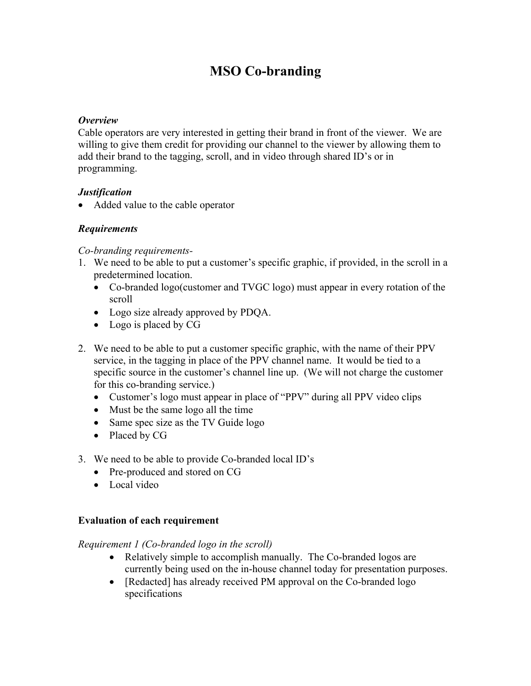# **MSO Co-branding**

#### *Overview*

Cable operators are very interested in getting their brand in front of the viewer. We are willing to give them credit for providing our channel to the viewer by allowing them to add their brand to the tagging, scroll, and in video through shared ID's or in programming.

# *Justification*

• Added value to the cable operator

# *Requirements*

#### *Co-branding requirements-*

- 1. We need to be able to put a customer's specific graphic, if provided, in the scroll in a predetermined location.
	- Co-branded logo(customer and TVGC logo) must appear in every rotation of the scroll
	- Logo size already approved by PDQA.
	- Logo is placed by CG
- 2. We need to be able to put a customer specific graphic, with the name of their PPV service, in the tagging in place of the PPV channel name. It would be tied to a specific source in the customer's channel line up. (We will not charge the customer for this co-branding service.)
	- Customer's logo must appear in place of "PPV" during all PPV video clips
	- Must be the same logo all the time
	- Same spec size as the TV Guide logo
	- Placed by CG
- 3. We need to be able to provide Co-branded local ID's
	- Pre-produced and stored on CG
	- Local video

# **Evaluation of each requirement**

#### *Requirement 1 (Co-branded logo in the scroll)*

- Relatively simple to accomplish manually. The Co-branded logos are currently being used on the in-house channel today for presentation purposes.
- [Redacted] has already received PM approval on the Co-branded logo] specifications